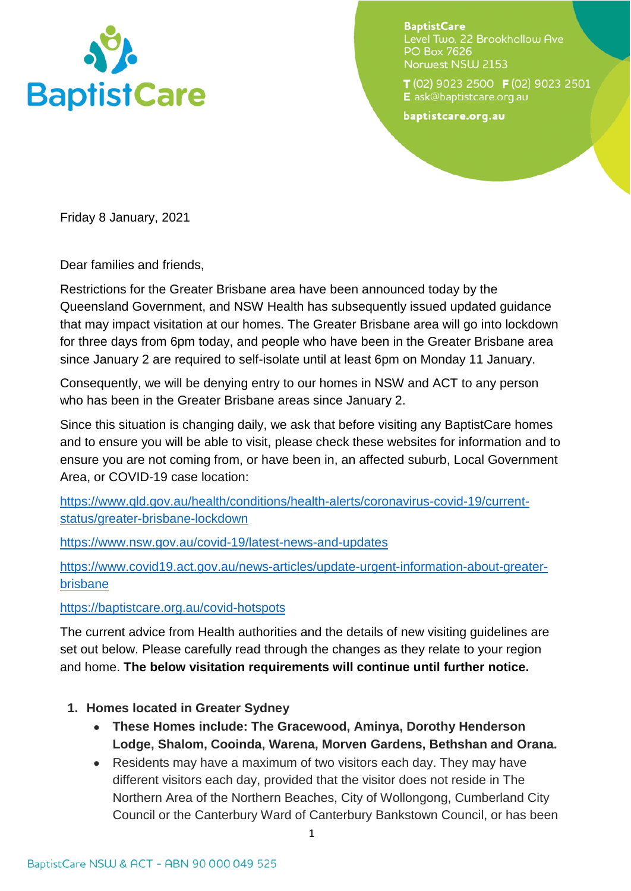

**BaptistCare** Level Two, 22 Brookhollow Ave **PO Box 7626** Norwest NSW 2153

T(02) 9023 2500 F(02) 9023 2501 E ask@baptistcare.org.au

baptistcare.org.au

Friday 8 January, 2021

Dear families and friends,

Restrictions for the Greater Brisbane area have been announced today by the Queensland Government, and NSW Health has subsequently issued updated guidance that may impact visitation at our homes. The Greater Brisbane area will go into lockdown for three days from 6pm today, and people who have been in the Greater Brisbane area since January 2 are required to self-isolate until at least 6pm on Monday 11 January.

Consequently, we will be denying entry to our homes in NSW and ACT to any person who has been in the Greater Brisbane areas since January 2.

Since this situation is changing daily, we ask that before visiting any BaptistCare homes and to ensure you will be able to visit, please check these websites for information and to ensure you are not coming from, or have been in, an affected suburb, Local Government Area, or COVID-19 case location:

[https://www.qld.gov.au/health/conditions/health-alerts/coronavirus-covid-19/current](https://www.qld.gov.au/health/conditions/health-alerts/coronavirus-covid-19/current-status/greater-brisbane-lockdown)[status/greater-brisbane-lockdown](https://www.qld.gov.au/health/conditions/health-alerts/coronavirus-covid-19/current-status/greater-brisbane-lockdown)

<https://www.nsw.gov.au/covid-19/latest-news-and-updates>

[https://www.covid19.act.gov.au/news-articles/update-urgent-information-about-greater](https://www.covid19.act.gov.au/news-articles/update-urgent-information-about-greater-brisbane)[brisbane](https://www.covid19.act.gov.au/news-articles/update-urgent-information-about-greater-brisbane) 

<https://baptistcare.org.au/covid-hotspots>

The current advice from Health authorities and the details of new visiting guidelines are set out below. Please carefully read through the changes as they relate to your region and home. **The below visitation requirements will continue until further notice.** 

- **1. Homes located in Greater Sydney** 
	- **These Homes include: The Gracewood, Aminya, Dorothy Henderson Lodge, Shalom, Cooinda, Warena, Morven Gardens, Bethshan and Orana.**
	- Residents may have a maximum of two visitors each day. They may have different visitors each day, provided that the visitor does not reside in The Northern Area of the Northern Beaches, City of Wollongong, Cumberland City Council or the Canterbury Ward of Canterbury Bankstown Council, or has been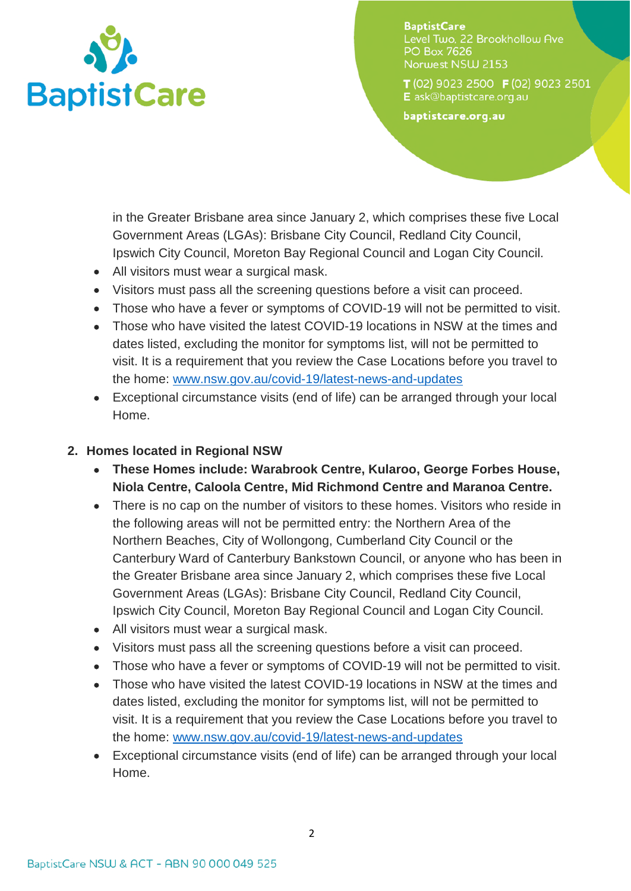

**BaptistCare** Level Two, 22 Brookhollow Ave **PO Box 7626** Norwest NSW 2153

 $T(02)$  9023 2500  $F(02)$  9023 2501 E ask@baptistcare.org.au

baptistcare.org.au

in the Greater Brisbane area since January 2, which comprises these five Local Government Areas (LGAs): Brisbane City Council, Redland City Council, Ipswich City Council, Moreton Bay Regional Council and Logan City Council.

- All visitors must wear a surgical mask.
- Visitors must pass all the screening questions before a visit can proceed.
- Those who have a fever or symptoms of COVID-19 will not be permitted to visit.
- Those who have visited the latest COVID-19 locations in NSW at the times and dates listed, excluding the monitor for symptoms list, will not be permitted to visit. It is a requirement that you review the Case Locations before you travel to the home: [www.nsw.gov.au/covid-19/latest-news-and-updates](http://www.nsw.gov.au/covid-19/latest-news-and-updates)
- Exceptional circumstance visits (end of life) can be arranged through your local Home.

## **2. Homes located in Regional NSW**

- **These Homes include: Warabrook Centre, Kularoo, George Forbes House, Niola Centre, Caloola Centre, Mid Richmond Centre and Maranoa Centre.**
- There is no cap on the number of visitors to these homes. Visitors who reside in the following areas will not be permitted entry: the Northern Area of the Northern Beaches, City of Wollongong, Cumberland City Council or the Canterbury Ward of Canterbury Bankstown Council, or anyone who has been in the Greater Brisbane area since January 2, which comprises these five Local Government Areas (LGAs): Brisbane City Council, Redland City Council, Ipswich City Council, Moreton Bay Regional Council and Logan City Council.
- All visitors must wear a surgical mask.
- Visitors must pass all the screening questions before a visit can proceed.
- Those who have a fever or symptoms of COVID-19 will not be permitted to visit.
- Those who have visited the latest COVID-19 locations in NSW at the times and dates listed, excluding the monitor for symptoms list, will not be permitted to visit. It is a requirement that you review the Case Locations before you travel to the home: [www.nsw.gov.au/covid-19/latest-news-and-updates](http://www.nsw.gov.au/covid-19/latest-news-and-updates)
- Exceptional circumstance visits (end of life) can be arranged through your local Home.